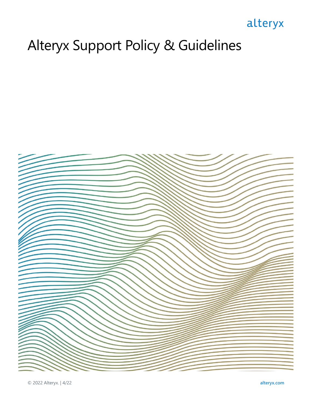## alteryx

# Alteryx Support Policy & Guidelines

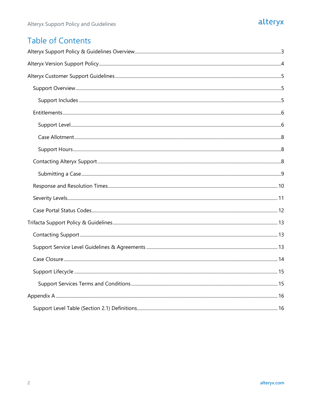#### alteryx

#### **Table of Contents**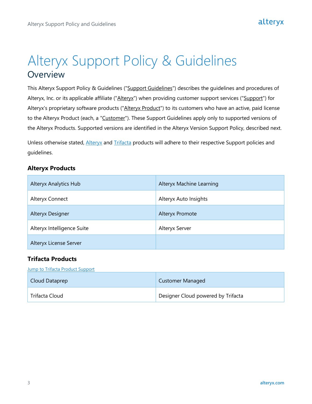## <span id="page-2-0"></span>Alteryx Support Policy & Guidelines **Overview**

This Alteryx Support Policy & Guidelines ("Support Guidelines") describes the guidelines and procedures of Alteryx, Inc. or its applicable affiliate ("Alteryx") when providing customer support services ("Support") for Alteryx's proprietary software products ("Alteryx Product") to its customers who have an active, paid license to the Alteryx Product (each, a "Customer"). These Support Guidelines apply only to supported versions of the Alteryx Products. Supported versions are identified in the Alteryx Version Support Policy, described next.

Unless otherwise stated, [Alteryx](#page-4-0) and [Trifacta](#page-12-0) products will adhere to their respective Support policies and guidelines.

#### **Alteryx Products**

| <b>Alteryx Analytics Hub</b> | <b>Alteryx Machine Learning</b> |
|------------------------------|---------------------------------|
| Alteryx Connect              | Alteryx Auto Insights           |
| <b>Alteryx Designer</b>      | <b>Alteryx Promote</b>          |
| Alteryx Intelligence Suite   | Alteryx Server                  |
| Alteryx License Server       |                                 |

#### **Trifacta Products**

**[Jump to Trifacta Product Support](#page-12-0)** 

| Cloud Dataprep | <b>Customer Managed</b>            |
|----------------|------------------------------------|
| Trifacta Cloud | Designer Cloud powered by Trifacta |

alteryx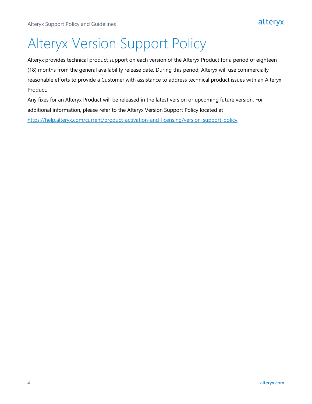# <span id="page-3-0"></span>Alteryx Version Support Policy

Alteryx provides technical product support on each version of the Alteryx Product for a period of eighteen (18) months from the general availability release date. During this period, Alteryx will use commercially reasonable efforts to provide a Customer with assistance to address technical product issues with an Alteryx Product.

Any fixes for an Alteryx Product will be released in the latest version or upcoming future version. For additional information, please refer to the Alteryx Version Support Policy located at [https://help.alteryx.com/current/product-activation-and-licensing/version-support-policy.](https://help.alteryx.com/current/product-activation-and-licensing/version-support-policy)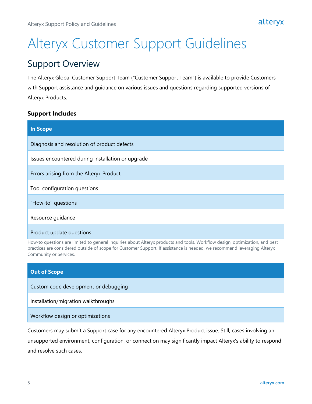# <span id="page-4-0"></span>Alteryx Customer Support Guidelines

#### <span id="page-4-1"></span>Support Overview

The Alteryx Global Customer Support Team ("Customer Support Team") is available to provide Customers with Support assistance and guidance on various issues and questions regarding supported versions of Alteryx Products.

#### <span id="page-4-2"></span>**Support Includes**

| <b>In Scope</b>                                   |
|---------------------------------------------------|
| Diagnosis and resolution of product defects       |
| Issues encountered during installation or upgrade |
| Errors arising from the Alteryx Product           |
| Tool configuration questions                      |
| "How-to" questions                                |
| Resource guidance                                 |
| Product update questions                          |

How-to questions are limited to general inquiries about Alteryx products and tools. Workflow design, optimization, and best practices are considered outside of scope for Customer Support. If assistance is needed, we recommend leveraging Alteryx Community or Services.

| <b>Out of Scope</b>                  |
|--------------------------------------|
| Custom code development or debugging |
| Installation/migration walkthroughs  |
| Workflow design or optimizations     |

Customers may submit a Support case for any encountered Alteryx Product issue. Still, cases involving an unsupported environment, configuration, or connection may significantly impact Alteryx's ability to respond and resolve such cases.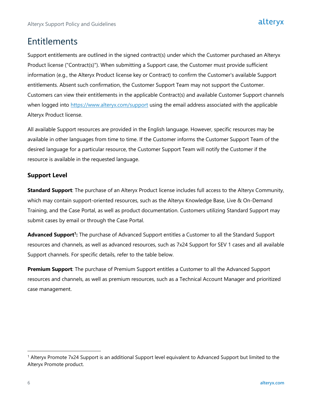#### <span id="page-5-0"></span>Entitlements

Support entitlements are outlined in the signed contract(s) under which the Customer purchased an Alteryx Product license ("Contract(s)"). When submitting a Support case, the Customer must provide sufficient information (e.g., the Alteryx Product license key or Contract) to confirm the Customer's available Support entitlements. Absent such confirmation, the Customer Support Team may not support the Customer. Customers can view their entitlements in the applicable Contract(s) and available Customer Support channels when logged into<https://www.alteryx.com/support> using the email address associated with the applicable Alteryx Product license.

All available Support resources are provided in the English language. However, specific resources may be available in other languages from time to time. If the Customer informs the Customer Support Team of the desired language for a particular resource, the Customer Support Team will notify the Customer if the resource is available in the requested language.

#### <span id="page-5-1"></span>**Support Level**

**Standard Support**: The purchase of an Alteryx Product license includes full access to the Alteryx Community, which may contain support-oriented resources, such as the Alteryx Knowledge Base, Live & On-Demand Training, and the Case Portal, as well as product documentation. Customers utilizing Standard Support may submit cases by email or through the Case Portal.

**Advanced Support<sup>1</sup> :** The purchase of Advanced Support entitles a Customer to all the Standard Support resources and channels, as well as advanced resources, such as 7x24 Support for SEV 1 cases and all available Support channels. For specific details, refer to the table below.

**Premium Support**: The purchase of Premium Support entitles a Customer to all the Advanced Support resources and channels, as well as premium resources, such as a Technical Account Manager and prioritized case management.

<sup>1</sup> Alteryx Promote 7x24 Support is an additional Support level equivalent to Advanced Support but limited to the Alteryx Promote product.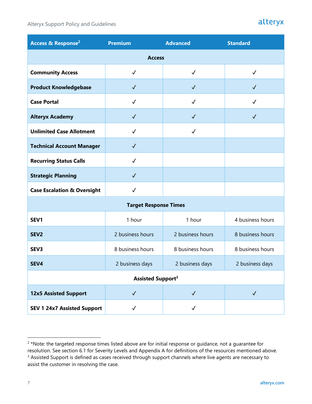Alteryx Support Policy and Guidelines

#### alteryx

| Access & Response <sup>2</sup>         | <b>Premium</b>               | <b>Advanced</b>  | <b>Standard</b>  |
|----------------------------------------|------------------------------|------------------|------------------|
|                                        | <b>Access</b>                |                  |                  |
| <b>Community Access</b>                | $\checkmark$                 | $\checkmark$     | $\checkmark$     |
| <b>Product Knowledgebase</b>           | $\checkmark$                 | $\checkmark$     | $\checkmark$     |
| <b>Case Portal</b>                     | $\checkmark$                 | $\checkmark$     | $\checkmark$     |
| <b>Alteryx Academy</b>                 | $\checkmark$                 | $\checkmark$     | $\checkmark$     |
| <b>Unlimited Case Allotment</b>        | $\checkmark$                 | $\checkmark$     |                  |
| <b>Technical Account Manager</b>       | $\checkmark$                 |                  |                  |
| <b>Recurring Status Calls</b>          | $\checkmark$                 |                  |                  |
| <b>Strategic Planning</b>              | $\checkmark$                 |                  |                  |
| <b>Case Escalation &amp; Oversight</b> | $\checkmark$                 |                  |                  |
|                                        | <b>Target Response Times</b> |                  |                  |
| SEV1                                   | 1 hour                       | 1 hour           | 4 business hours |
| SEV <sub>2</sub>                       | 2 business hours             | 2 business hours | 8 business hours |
| SEV3                                   | 8 business hours             | 8 business hours | 8 business hours |
| SEV4                                   | 2 business days              | 2 business days  | 2 business days  |
| <b>Assisted Support3</b>               |                              |                  |                  |
| <b>12x5 Assisted Support</b>           | $\checkmark$                 | $\checkmark$     | $\checkmark$     |
| <b>SEV 1 24x7 Assisted Support</b>     | $\checkmark$                 | $\checkmark$     |                  |

<sup>&</sup>lt;sup>2</sup> \*Note: the targeted response times listed above are for initial response or guidance, not a guarantee for resolution. See section 6.1 for Severity Levels and Appendix A for definitions of the resources mentioned above.

<sup>&</sup>lt;sup>3</sup> Assisted Support is defined as cases received through support channels where live agents are necessary to assist the customer in resolving the case.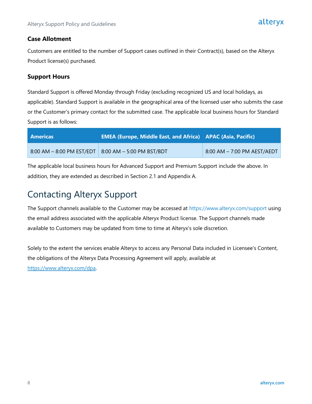#### <span id="page-7-0"></span>**Case Allotment**

Customers are entitled to the number of Support cases outlined in their Contract(s), based on the Alteryx Product license(s) purchased.

#### <span id="page-7-1"></span>**Support Hours**

Standard Support is offered Monday through Friday (excluding recognized US and local holidays, as applicable). Standard Support is available in the geographical area of the licensed user who submits the case or the Customer's primary contact for the submitted case. The applicable local business hours for Standard Support is as follows:

| l Americas                                              | <b>EMEA (Europe, Middle East, and Africa) APAC (Asia, Pacific)</b> |                             |
|---------------------------------------------------------|--------------------------------------------------------------------|-----------------------------|
| $8:00$ AM – 8:00 PM EST/EDT   8:00 AM – 5:00 PM BST/BDT |                                                                    | 8:00 AM - 7:00 PM AEST/AEDT |

The applicable local business hours for Advanced Support and Premium Support include the above. In addition, they are extended as described in Section 2.1 and Appendix A.

## <span id="page-7-2"></span>Contacting Alteryx Support

The Support channels available to the Customer may be accessed at https://www.alteryx.com/support using the email address associated with the applicable Alteryx Product license. The Support channels made available to Customers may be updated from time to time at Alteryx's sole discretion.

Solely to the extent the services enable Alteryx to access any Personal Data included in Licensee's Content, the obligations of the Alteryx Data Processing Agreement will apply, available at [https://www.alteryx.com/dpa.](https://www.alteryx.com/dpa)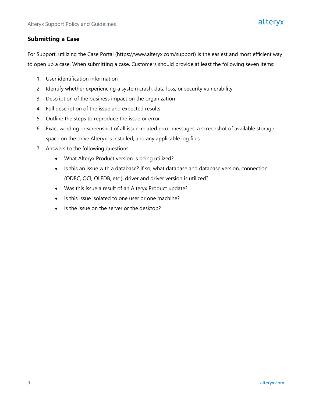#### <span id="page-8-0"></span>**Submitting a Case**

For Support, utilizing the Case Portal (https://www.alteryx.com/support) is the easiest and most efficient way to open up a case. When submitting a case, Customers should provide at least the following seven items:

- 1. User identification information
- 2. Identify whether experiencing a system crash, data loss, or security vulnerability
- 3. Description of the business impact on the organization
- 4. Full description of the issue and expected results
- 5. Outline the steps to reproduce the issue or error
- 6. Exact wording or screenshot of all issue-related error messages, a screenshot of available storage space on the drive Alteryx is installed, and any applicable log files
- 7. Answers to the following questions:
	- What Alteryx Product version is being utilized?
	- Is this an issue with a database? If so, what database and database version, connection (ODBC, OCI, OLEDB, etc.), driver and driver version is utilized?
	- Was this issue a result of an Alteryx Product update?
	- Is this issue isolated to one user or one machine?
	- Is the issue on the server or the desktop?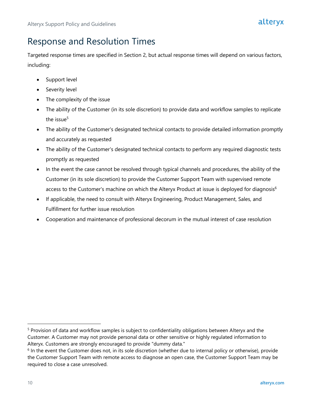## <span id="page-9-0"></span>Response and Resolution Times

Targeted response times are specified in Section 2, but actual response times will depend on various factors, including:

- Support level
- Severity level
- The complexity of the issue
- The ability of the Customer (in its sole discretion) to provide data and workflow samples to replicate the issue $5$
- The ability of the Customer's designated technical contacts to provide detailed information promptly and accurately as requested
- The ability of the Customer's designated technical contacts to perform any required diagnostic tests promptly as requested
- In the event the case cannot be resolved through typical channels and procedures, the ability of the Customer (in its sole discretion) to provide the Customer Support Team with supervised remote access to the Customer's machine on which the Alteryx Product at issue is deployed for diagnosis<sup>6</sup>
- If applicable, the need to consult with Alteryx Engineering, Product Management, Sales, and Fulfillment for further issue resolution
- Cooperation and maintenance of professional decorum in the mutual interest of case resolution

<sup>5</sup> Provision of data and workflow samples is subject to confidentiality obligations between Alteryx and the Customer. A Customer may not provide personal data or other sensitive or highly regulated information to Alteryx. Customers are strongly encouraged to provide "dummy data."

<sup>&</sup>lt;sup>6</sup> In the event the Customer does not, in its sole discretion (whether due to internal policy or otherwise), provide the Customer Support Team with remote access to diagnose an open case, the Customer Support Team may be required to close a case unresolved.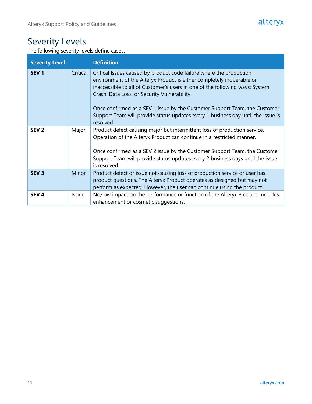## <span id="page-10-0"></span>Severity Levels

The following severity levels define cases:

| <b>Severity Level</b> |          | <b>Definition</b>                                                                                                                                                                                                                                                                                                                                                                                                                                           |
|-----------------------|----------|-------------------------------------------------------------------------------------------------------------------------------------------------------------------------------------------------------------------------------------------------------------------------------------------------------------------------------------------------------------------------------------------------------------------------------------------------------------|
| SEV <sub>1</sub>      | Critical | Critical Issues caused by product code failure where the production<br>environment of the Alteryx Product is either completely inoperable or<br>inaccessible to all of Customer's users in one of the following ways: System<br>Crash, Data Loss, or Security Vulnerability.<br>Once confirmed as a SEV 1 issue by the Customer Support Team, the Customer<br>Support Team will provide status updates every 1 business day until the issue is<br>resolved. |
| SEV <sub>2</sub>      | Major    | Product defect causing major but intermittent loss of production service.<br>Operation of the Alteryx Product can continue in a restricted manner.<br>Once confirmed as a SEV 2 issue by the Customer Support Team, the Customer<br>Support Team will provide status updates every 2 business days until the issue<br>is resolved.                                                                                                                          |
| SEV <sub>3</sub>      | Minor    | Product defect or issue not causing loss of production service or user has<br>product questions. The Alteryx Product operates as designed but may not<br>perform as expected. However, the user can continue using the product.                                                                                                                                                                                                                             |
| SEV <sub>4</sub>      | None     | No/low impact on the performance or function of the Alteryx Product. Includes<br>enhancement or cosmetic suggestions.                                                                                                                                                                                                                                                                                                                                       |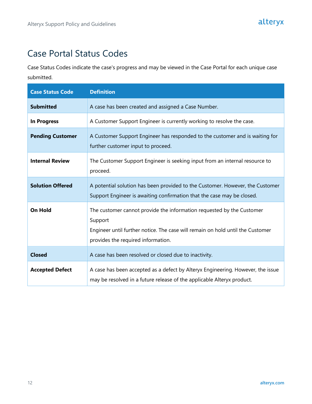## <span id="page-11-0"></span>Case Portal Status Codes

Case Status Codes indicate the case's progress and may be viewed in the Case Portal for each unique case submitted.

| <b>Case Status Code</b> | <b>Definition</b>                                                                                                                                                                                        |
|-------------------------|----------------------------------------------------------------------------------------------------------------------------------------------------------------------------------------------------------|
| <b>Submitted</b>        | A case has been created and assigned a Case Number.                                                                                                                                                      |
| <b>In Progress</b>      | A Customer Support Engineer is currently working to resolve the case.                                                                                                                                    |
| <b>Pending Customer</b> | A Customer Support Engineer has responded to the customer and is waiting for<br>further customer input to proceed.                                                                                       |
| <b>Internal Review</b>  | The Customer Support Engineer is seeking input from an internal resource to<br>proceed.                                                                                                                  |
| <b>Solution Offered</b> | A potential solution has been provided to the Customer. However, the Customer<br>Support Engineer is awaiting confirmation that the case may be closed.                                                  |
| <b>On Hold</b>          | The customer cannot provide the information requested by the Customer<br>Support<br>Engineer until further notice. The case will remain on hold until the Customer<br>provides the required information. |
| <b>Closed</b>           | A case has been resolved or closed due to inactivity.                                                                                                                                                    |
| <b>Accepted Defect</b>  | A case has been accepted as a defect by Alteryx Engineering. However, the issue<br>may be resolved in a future release of the applicable Alteryx product.                                                |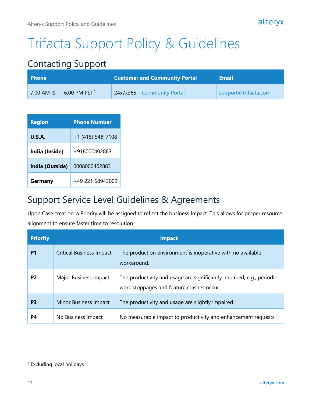# <span id="page-12-0"></span>Trifacta Support Policy & Guidelines

## <span id="page-12-1"></span>Contacting Support

| <b>Phone</b>                           | <b>Customer and Community Portal</b> | Email                |
|----------------------------------------|--------------------------------------|----------------------|
| 7:00 AM IST - 6:00 PM PST <sup>7</sup> | 24x7x365 - Community Portal          | support@trifacta.com |

| <b>Region</b>   | <b>Phone Number</b> |
|-----------------|---------------------|
| U.S.A.          | +1 (415) 548-7108   |
| India (Inside)  | +918000402883       |
| India (Outside) | 0008000402883       |
| Germany         | +49 221 68943009    |

## <span id="page-12-2"></span>Support Service Level Guidelines & Agreements

Upon Case creation, a Priority will be assigned to reflect the business Impact. This allows for proper resource alignment to ensure faster time to resolution.

| <b>Priority</b> |                                 | <b>Impact</b>                                                                                                      |
|-----------------|---------------------------------|--------------------------------------------------------------------------------------------------------------------|
| P <sub>1</sub>  | <b>Critical Business Impact</b> | The production environment is inoperative with no available<br>workaround.                                         |
| P <sub>2</sub>  | Major Business Impact           | The productivity and usage are significantly impaired, e.g., periodic<br>work stoppages and feature crashes occur. |
| P <sub>3</sub>  | Minor Business Impact           | The productivity and usage are slightly impaired.                                                                  |
| P4              | No Business Impact              | No measurable impact to productivity and enhancement requests.                                                     |

<sup>7</sup> Excluding local holidays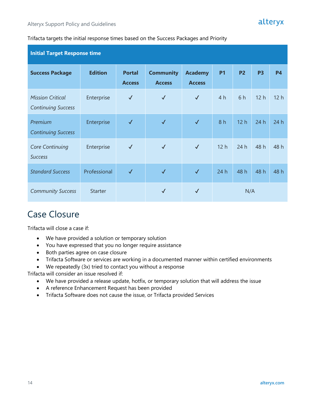#### Trifacta targets the initial response times based on the Success Packages and Priority

| <b>Initial Target Response time</b>                  |                |                                |                                   |                                 |                 |                 |           |           |
|------------------------------------------------------|----------------|--------------------------------|-----------------------------------|---------------------------------|-----------------|-----------------|-----------|-----------|
| <b>Success Package</b>                               | <b>Edition</b> | <b>Portal</b><br><b>Access</b> | <b>Community</b><br><b>Access</b> | <b>Academy</b><br><b>Access</b> | <b>P1</b>       | <b>P2</b>       | <b>P3</b> | <b>P4</b> |
| <b>Mission Critical</b><br><b>Continuing Success</b> | Enterprise     | $\checkmark$                   | $\checkmark$                      | $\checkmark$                    | 4 <sub>h</sub>  | 6 h             | 12h       | 12h       |
| Premium<br><b>Continuing Success</b>                 | Enterprise     | $\checkmark$                   | $\checkmark$                      | $\checkmark$                    | 8h              | 12 <sub>h</sub> | 24 h      | 24h       |
| <b>Core Continuing</b><br><b>Success</b>             | Enterprise     | $\checkmark$                   | $\checkmark$                      | $\checkmark$                    | 12 <sub>h</sub> | 24h             | 48 h      | 48 h      |
| <b>Standard Success</b>                              | Professional   | $\checkmark$                   | $\checkmark$                      | $\checkmark$                    | 24h             | 48 h            | 48 h      | 48 h      |
| <b>Community Success</b>                             | <b>Starter</b> |                                | $\checkmark$                      | $\checkmark$                    | N/A             |                 |           |           |

#### <span id="page-13-0"></span>Case Closure

Trifacta will close a case if:

- We have provided a solution or temporary solution
- You have expressed that you no longer require assistance
- Both parties agree on case closure
- Trifacta Software or services are working in a documented manner within certified environments
- We repeatedly (3x) tried to contact you without a response

Trifacta will consider an issue resolved if:

- We have provided a release update, hotfix, or temporary solution that will address the issue
- A reference Enhancement Request has been provided
- Trifacta Software does not cause the issue, or Trifacta provided Services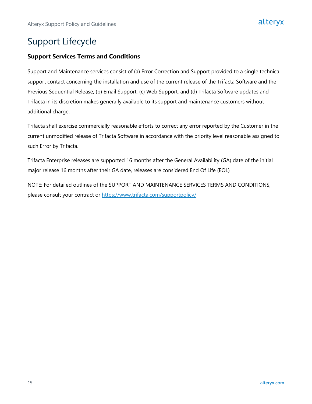## <span id="page-14-0"></span>Support Lifecycle

#### <span id="page-14-1"></span>**Support Services Terms and Conditions**

Support and Maintenance services consist of (a) Error Correction and Support provided to a single technical support contact concerning the installation and use of the current release of the Trifacta Software and the Previous Sequential Release, (b) Email Support, (c) Web Support, and (d) Trifacta Software updates and Trifacta in its discretion makes generally available to its support and maintenance customers without additional charge.

Trifacta shall exercise commercially reasonable efforts to correct any error reported by the Customer in the current unmodified release of Trifacta Software in accordance with the priority level reasonable assigned to such Error by Trifacta.

Trifacta Enterprise releases are supported 16 months after the General Availability (GA) date of the initial major release 16 months after their GA date, releases are considered End Of Life (EOL)

NOTE: For detailed outlines of the SUPPORT AND MAINTENANCE SERVICES TERMS AND CONDITIONS, please consult your contract or<https://www.trifacta.com/supportpolicy/>